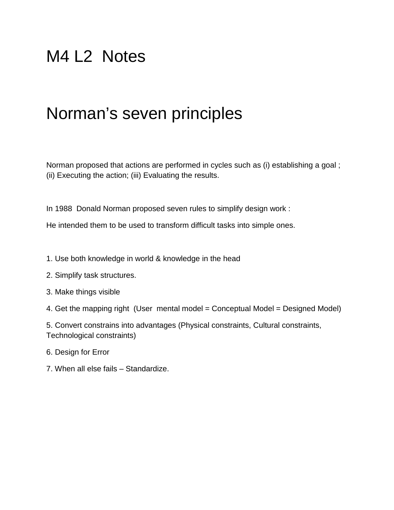## M4 L2 Notes

## Norman's seven principles

Norman proposed that actions are performed in cycles such as (i) establishing a goal ; (ii) Executing the action; (iii) Evaluating the results.

In 1988 Donald Norman proposed seven rules to simplify design work :

He intended them to be used to transform difficult tasks into simple ones.

- 1. Use both knowledge in world & knowledge in the head
- 2. Simplify task structures.
- 3. Make things visible

4. Get the mapping right (User mental model = Conceptual Model = Designed Model)

5. Convert constrains into advantages (Physical constraints, Cultural constraints, Technological constraints)

- 6. Design for Error
- 7. When all else fails Standardize.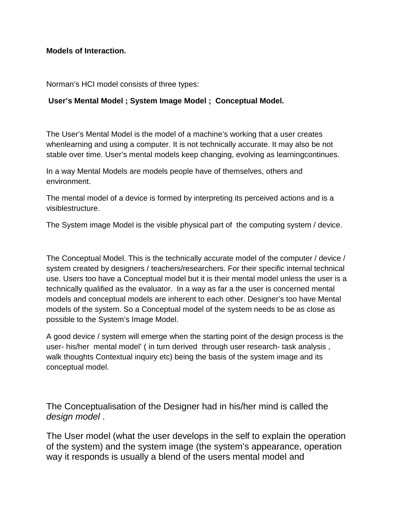**Models of Interaction.**

Norman's HCI model consists of three types:

## **User's Mental Model ; System Image Model ; Conceptual Model.**

The User's Mental Model is the model of a machine's working that a user creates whenlearning and using a computer. It is not technically accurate. It may also be not stable over time. User's mental models keep changing, evolving as learningcontinues.

In a way Mental Models are models people have of themselves, others and environment.

The mental model of a device is formed by interpreting its perceived actions and is a visiblestructure.

The System image Model is the visible physical part of the computing system / device.

The Conceptual Model. This is the technically accurate model of the computer / device / system created by designers / teachers/researchers. For their specific internal technical use. Users too have a Conceptual model but it is their mental model unless the user is a technically qualified as the evaluator. In a way as far a the user is concerned mental models and conceptual models are inherent to each other. Designer's too have Mental models of the system. So a Conceptual model of the system needs to be as close as possible to the System's Image Model.

A good device / system will emerge when the starting point of the design process is the user- his/her mental model' ( in turn derived through user research- task analysis , walk thoughts Contextual inquiry etc) being the basis of the system image and its conceptual model.

The Conceptualisation of the Designer had in his/her mind is called the *design model* .

The User model (what the user develops in the self to explain the operation of the system) and the system image (the system's appearance, operation way it responds is usually a blend of the users mental model and